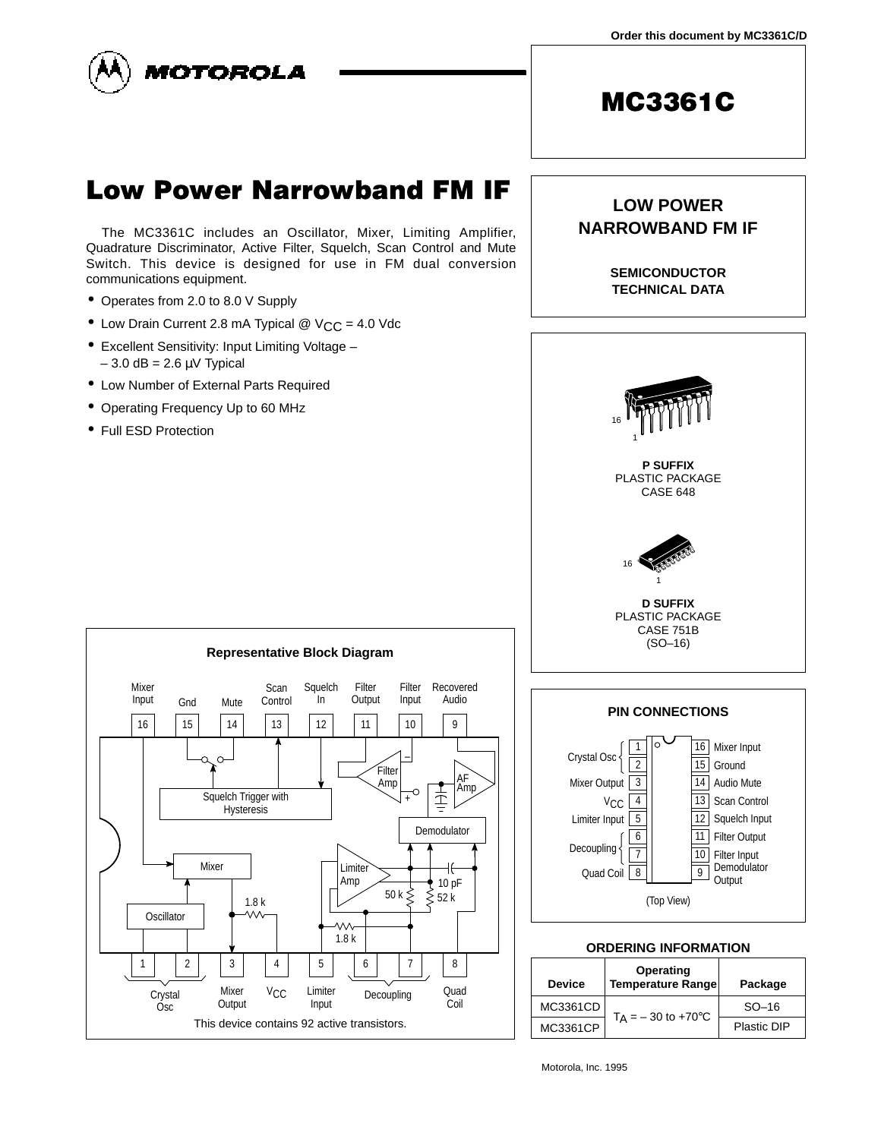

# **Low Power Narrowband FM IF**

The MC3361C includes an Oscillator, Mixer, Limiting Amplifier, Quadrature Discriminator, Active Filter, Squelch, Scan Control and Mute Switch. This device is designed for use in FM dual conversion communications equipment.

- Operates from 2.0 to 8.0 V Supply
- Low Drain Current 2.8 mA Typical  $@$   $V_{CC} = 4.0$  Vdc
- Excellent Sensitivity: Input Limiting Voltage  $-3.0$  dB = 2.6  $\mu$ V Typical
- Low Number of External Parts Required
- Operating Frequency Up to 60 MHz
- Full ESD Protection

**LOW POWER NARROWBAND FM IF**

> **SEMICONDUCTOR TECHNICAL DATA**







| <b>Device</b> | Operating<br>Temperature Range  | Package     |  |
|---------------|---------------------------------|-------------|--|
| MC3361CD      | $T_A = -30$ to +70 $^{\circ}$ C | $SO-16$     |  |
| MC3361CP      |                                 | Plastic DIP |  |

Motorola, Inc. 1995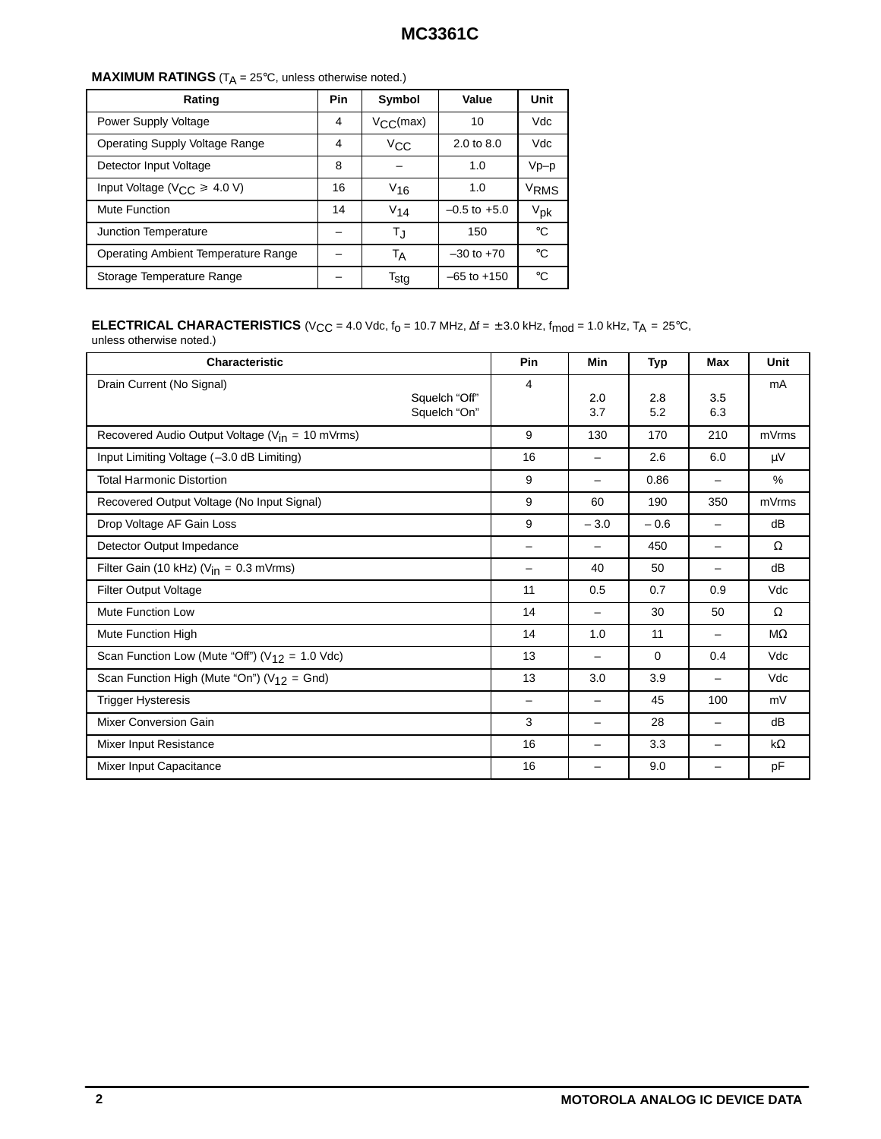| <b>MAXIMUM RATINGS</b> ( $T_A = 25^\circ \text{C}$ , unless otherwise noted.) |  |
|-------------------------------------------------------------------------------|--|
|-------------------------------------------------------------------------------|--|

| Rating                                                                  |  | Symbol                                | Value            | Unit         |
|-------------------------------------------------------------------------|--|---------------------------------------|------------------|--------------|
| Power Supply Voltage                                                    |  | $V_{\rm CC}(max)$                     | 10               | Vdc          |
| Operating Supply Voltage Range                                          |  | $2.0 \text{ to } 8.0$<br>$V_{\rm CC}$ |                  | Vdc          |
| Detector Input Voltage                                                  |  |                                       | 1.0              | Vp-p         |
| Input Voltage ( $V_{CC} \geq 4.0$ V)                                    |  | $V_{16}$                              | 1.0              | VRMS         |
| Mute Function                                                           |  | $V_{14}$                              | $-0.5$ to $+5.0$ | $V_{\rm pk}$ |
| Junction Temperature                                                    |  | T.J                                   | 150              | °€           |
| <b>Operating Ambient Temperature Range</b><br>Storage Temperature Range |  | ТA                                    | $-30$ to $+70$   | °C           |
|                                                                         |  | $\mathsf{T}_{\mathsf{stg}}$           | $-65$ to $+150$  | $^{\circ}$ C |

#### **ELECTRICAL CHARACTERISTICS** (V<sub>CC</sub> = 4.0 Vdc, f<sub>0</sub> = 10.7 MHz, ∆f =  $\pm$  3.0 kHz, f<sub>mod</sub> = 1.0 kHz, T<sub>A</sub> = 25°C,

unless otherwise noted.)

| <b>Characteristic</b>                                      | Pin | Min                      | <b>Typ</b> | <b>Max</b>               | Unit          |
|------------------------------------------------------------|-----|--------------------------|------------|--------------------------|---------------|
| Drain Current (No Signal)<br>Squelch "Off"<br>Squelch "On" | 4   | 2.0<br>3.7               | 2.8<br>5.2 | 3.5<br>6.3               | mA            |
| Recovered Audio Output Voltage ( $V_{in}$ = 10 mVrms)      | 9   | 130                      | 170        | 210                      | mVrms         |
| Input Limiting Voltage (-3.0 dB Limiting)                  | 16  |                          | 2.6        | 6.0                      | μV            |
| <b>Total Harmonic Distortion</b>                           | 9   | $\overline{\phantom{0}}$ | 0.86       | -                        | $\frac{0}{0}$ |
| Recovered Output Voltage (No Input Signal)                 | 9   | 60                       | 190        | 350                      | mVrms         |
| Drop Voltage AF Gain Loss                                  | 9   | $-3.0$                   | $-0.6$     | -                        | dB            |
| Detector Output Impedance                                  | Ξ.  | -                        | 450        | -                        | Ω             |
| Filter Gain (10 kHz) ( $V_{in}$ = 0.3 mVrms)               |     | 40                       | 50         | Ξ.                       | dB            |
| <b>Filter Output Voltage</b>                               | 11  | 0.5                      | 0.7        | 0.9                      | Vdc           |
| Mute Function Low                                          | 14  | —                        | 30         | 50                       | $\Omega$      |
| Mute Function High                                         | 14  | 1.0                      | 11         | $\overline{\phantom{0}}$ | $M\Omega$     |
| Scan Function Low (Mute "Off") ( $V_{12}$ = 1.0 Vdc)       | 13  | -                        | 0          | 0.4                      | Vdc           |
| Scan Function High (Mute "On") ( $V_{12}$ = Gnd)           | 13  | 3.0                      | 3.9        | $\overline{\phantom{0}}$ | Vdc           |
| <b>Trigger Hysteresis</b>                                  | -   | -                        | 45         | 100                      | mV            |
| Mixer Conversion Gain                                      | 3   | -                        | 28         | -                        | dB            |
| Mixer Input Resistance                                     | 16  | $\overline{\phantom{0}}$ | 3.3        | -                        | $k\Omega$     |
| Mixer Input Capacitance                                    | 16  | -                        | 9.0        | -                        | pF            |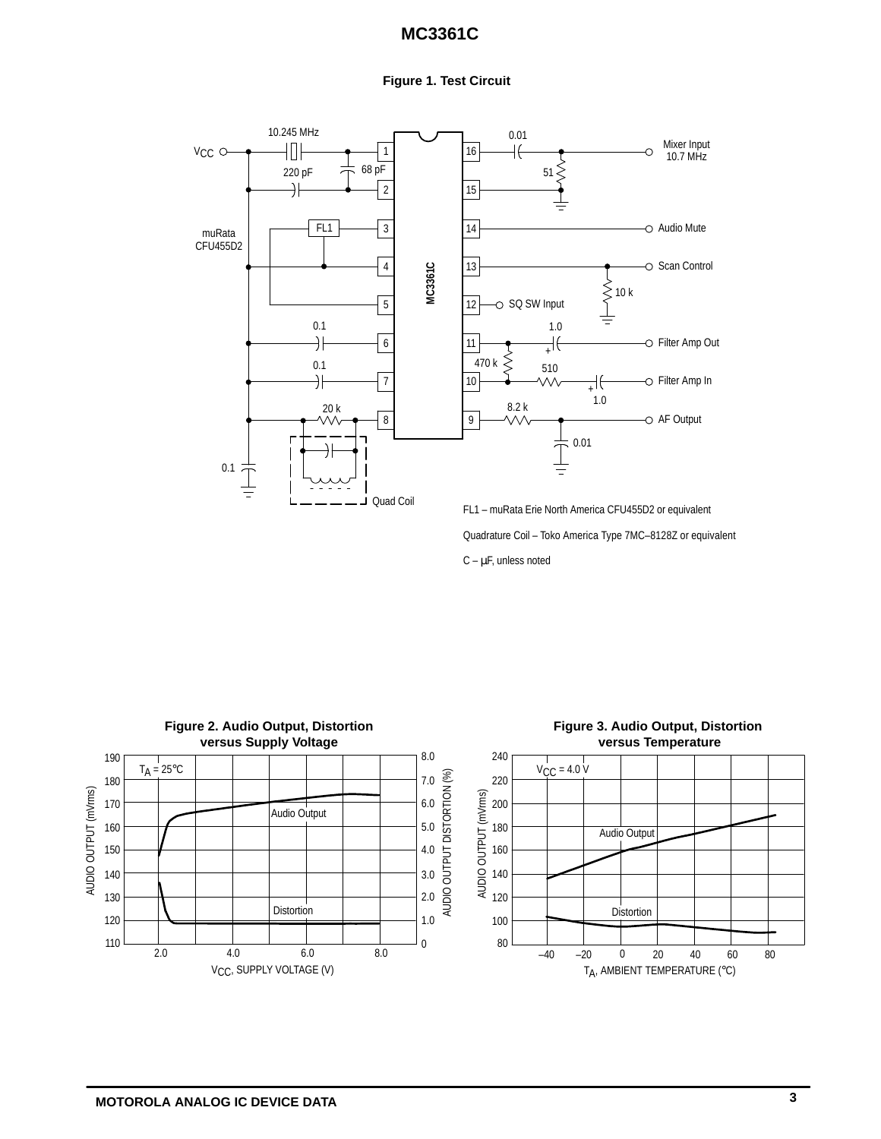#### **Figure 1. Test Circuit**



Quadrature Coil – Toko America Type 7MC–8128Z or equivalent

 $C - \mu F$ , unless noted

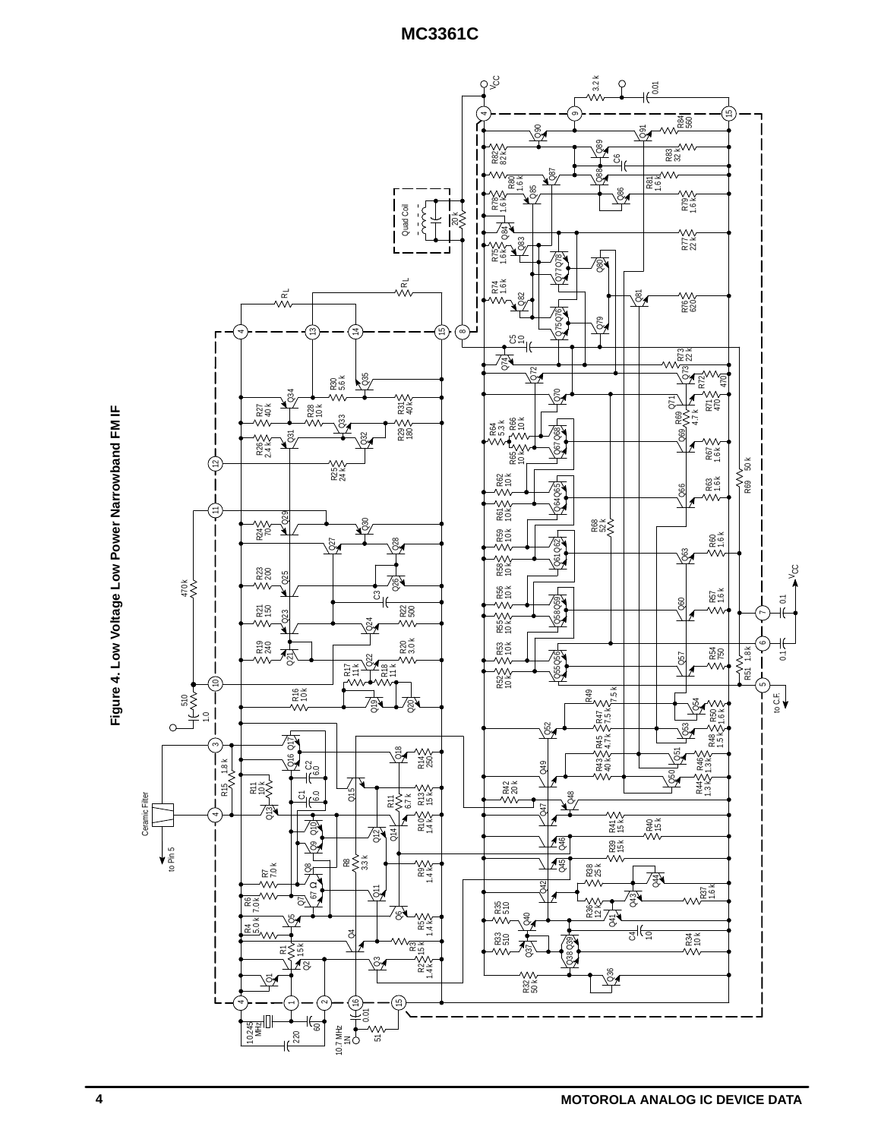

Figure 4. Low Voltage Low Power Narrowband FM IF **Figure 4. Low Voltage Low Power Narrowband FM IF**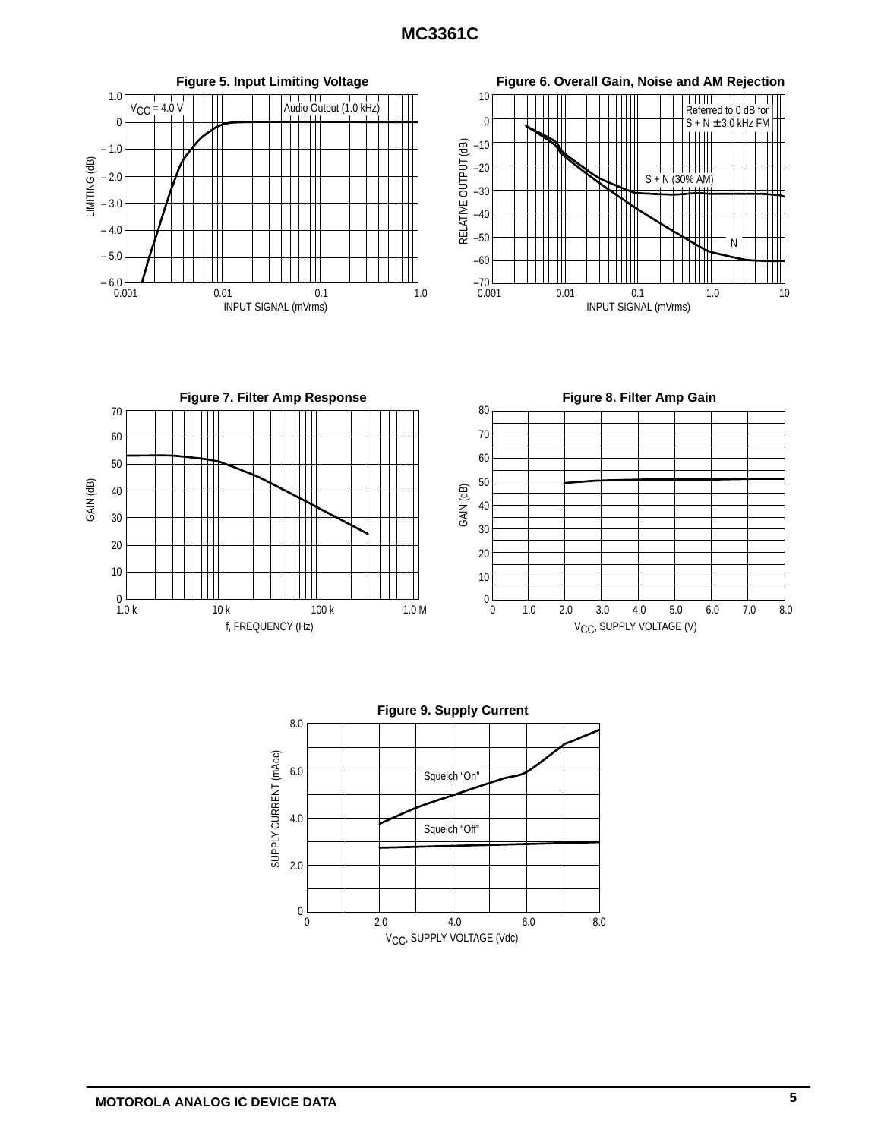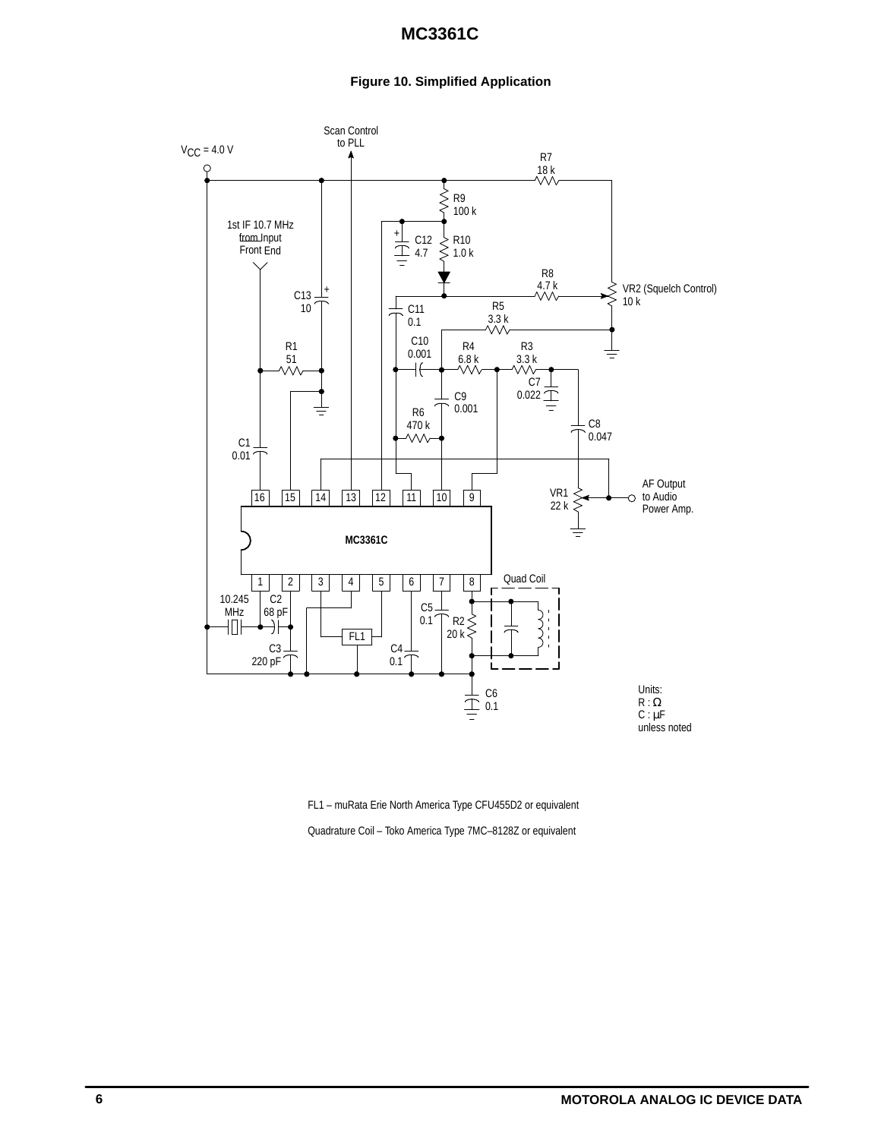### **Figure 10. Simplified Application**



FL1 – muRata Erie North America Type CFU455D2 or equivalent

Quadrature Coil – Toko America Type 7MC–8128Z or equivalent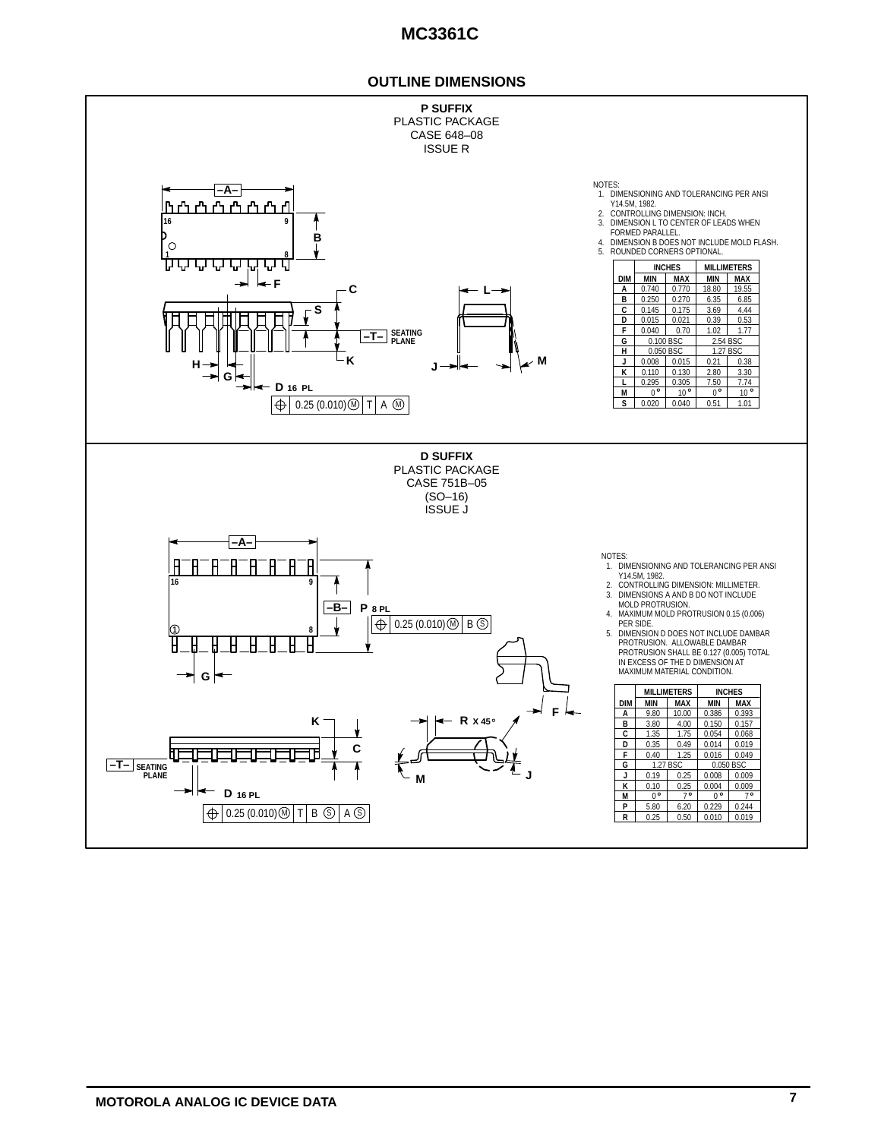### **OUTLINE DIMENSIONS**